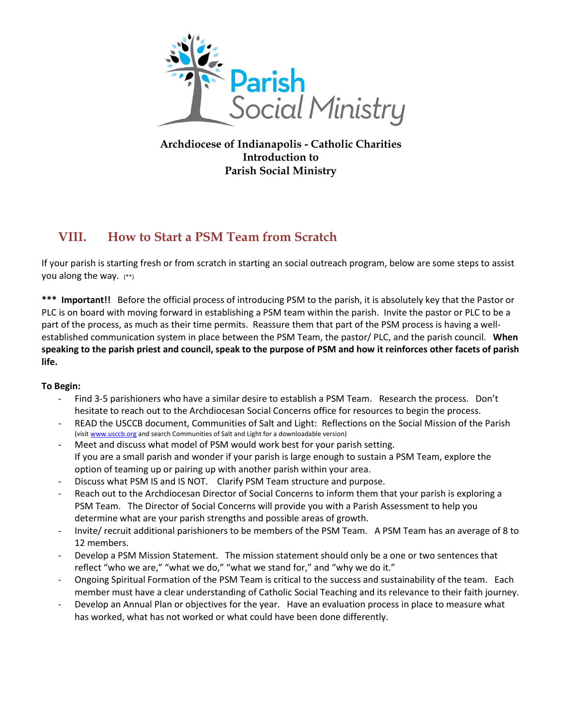

**Archdiocese of Indianapolis - Catholic Charities Introduction to Parish Social Ministry**

# **VIII. How to Start a PSM Team from Scratch**

If your parish is starting fresh or from scratch in starting an social outreach program, below are some steps to assist you along the way. (\*\*)

**\*\*\* Important!!** Before the official process of introducing PSM to the parish, it is absolutely key that the Pastor or PLC is on board with moving forward in establishing a PSM team within the parish. Invite the pastor or PLC to be a part of the process, as much as their time permits. Reassure them that part of the PSM process is having a wellestablished communication system in place between the PSM Team, the pastor/ PLC, and the parish council. **When speaking to the parish priest and council, speak to the purpose of PSM and how it reinforces other facets of parish life.** 

## **To Begin:**

- Find 3-5 parishioners who have a similar desire to establish a PSM Team. Research the process. Don't hesitate to reach out to the Archdiocesan Social Concerns office for resources to begin the process.
- READ the USCCB document, Communities of Salt and Light: Reflections on the Social Mission of the Parish (visi[t www.usccb.org](http://www.usccb.org/) and search Communities of Salt and Light for a downloadable version)
- Meet and discuss what model of PSM would work best for your parish setting. If you are a small parish and wonder if your parish is large enough to sustain a PSM Team, explore the option of teaming up or pairing up with another parish within your area.
- Discuss what PSM IS and IS NOT. Clarify PSM Team structure and purpose.
- Reach out to the Archdiocesan Director of Social Concerns to inform them that your parish is exploring a PSM Team. The Director of Social Concerns will provide you with a Parish Assessment to help you determine what are your parish strengths and possible areas of growth.
- Invite/ recruit additional parishioners to be members of the PSM Team. A PSM Team has an average of 8 to 12 members.
- Develop a PSM Mission Statement. The mission statement should only be a one or two sentences that reflect "who we are," "what we do," "what we stand for," and "why we do it."
- Ongoing Spiritual Formation of the PSM Team is critical to the success and sustainability of the team. Each member must have a clear understanding of Catholic Social Teaching and its relevance to their faith journey.
- Develop an Annual Plan or objectives for the year. Have an evaluation process in place to measure what has worked, what has not worked or what could have been done differently.